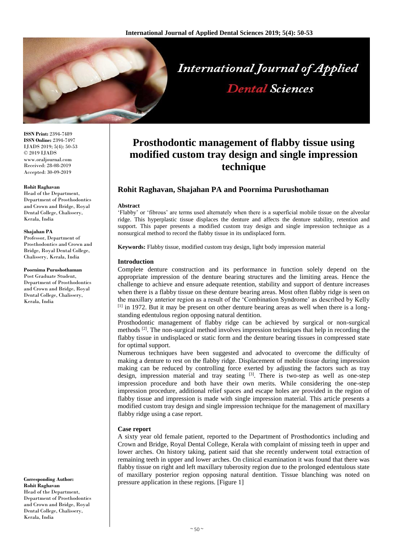

**ISSN Print:** 2394-7489 **ISSN Online:** 2394-7497 IJADS 2019; 5(4): 50-53 © 2019 IJADS www.oraljournal.com Received: 28-08-2019 Accepted: 30-09-2019

# **Rohit Raghavan**

Head of the Department, Department of Prosthodontics and Crown and Bridge, Royal Dental College, Chalissery, Kerala, India

#### **Shajahan PA**

Professor, Department of Prosthodontics and Crown and Bridge, Royal Dental College, Chalissery, Kerala, India

### **Poornima Purushothaman**

Post Graduate Student, Department of Prosthodontics and Crown and Bridge, Royal Dental College, Chalissery, Kerala, India

**Corresponding Author: Rohit Raghavan** Head of the Department, Department of Prosthodontics and Crown and Bridge, Royal Dental College, Chalissery, Kerala, India

# **Prosthodontic management of flabby tissue using modified custom tray design and single impression technique**

# **Rohit Raghavan, Shajahan PA and Poornima Purushothaman**

### **Abstract**

'Flabby' or 'fibrous' are terms used alternately when there is a superficial mobile tissue on the alveolar ridge. This hyperplastic tissue displaces the denture and affects the denture stability, retention and support. This paper presents a modified custom tray design and single impression technique as a nonsurgical method to record the flabby tissue in its undisplaced form.

**Keywords:** Flabby tissue, modified custom tray design, light body impression material

# **Introduction**

Complete denture construction and its performance in function solely depend on the appropriate impression of the denture bearing structures and the limiting areas. Hence the challenge to achieve and ensure adequate retention, stability and support of denture increases when there is a flabby tissue on these denture bearing areas. Most often flabby ridge is seen on the maxillary anterior region as a result of the 'Combination Syndrome' as described by Kelly [1] in 1972. But it may be present on other denture bearing areas as well when there is a longstanding edentulous region opposing natural dentition.

Prosthodontic management of flabby ridge can be achieved by surgical or non-surgical methods [2]. The non-surgical method involves impression techniques that help in recording the flabby tissue in undisplaced or static form and the denture bearing tissues in compressed state for optimal support.

Numerous techniques have been suggested and advocated to overcome the difficulty of making a denture to rest on the flabby ridge. Displacement of mobile tissue during impression making can be reduced by controlling force exerted by adjusting the factors such as tray design, impression material and tray seating [3]. There is two-step as well as one-step impression procedure and both have their own merits. While considering the one-step impression procedure, additional relief spaces and escape holes are provided in the region of flabby tissue and impression is made with single impression material. This article presents a modified custom tray design and single impression technique for the management of maxillary flabby ridge using a case report.

# **Case report**

A sixty year old female patient, reported to the Department of Prosthodontics including and Crown and Bridge, Royal Dental College, Kerala with complaint of missing teeth in upper and lower arches. On history taking, patient said that she recently underwent total extraction of remaining teeth in upper and lower arches. On clinical examination it was found that there was flabby tissue on right and left maxillary tuberosity region due to the prolonged edentulous state of maxillary posterior region opposing natural dentition. Tissue blanching was noted on pressure application in these regions. [Figure 1]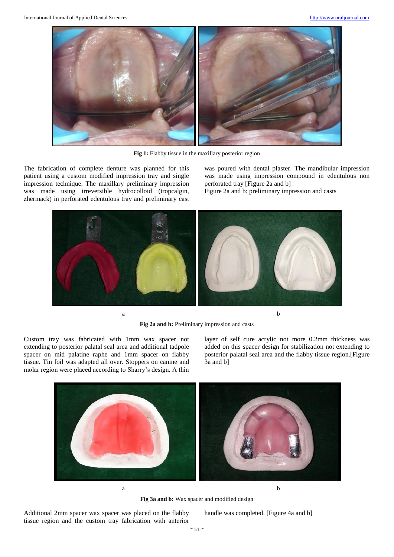

Fig 1: Flabby tissue in the maxillary posterior region

The fabrication of complete denture was planned for this patient using a custom modified impression tray and single impression technique. The maxillary preliminary impression was made using irreversible hydrocolloid (tropcalgin, zhermack) in perforated edentulous tray and preliminary cast was poured with dental plaster. The mandibular impression was made using impression compound in edentulous non perforated tray [Figure 2a and b]

Figure 2a and b: preliminary impression and casts



**Fig 2a and b:** Preliminary impression and casts

Custom tray was fabricated with 1mm wax spacer not extending to posterior palatal seal area and additional tadpole spacer on mid palatine raphe and 1mm spacer on flabby tissue. Tin foil was adapted all over. Stoppers on canine and molar region were placed according to Sharry's design. A thin

layer of self cure acrylic not more 0.2mm thickness was added on this spacer design for stabilization not extending to posterior palatal seal area and the flabby tissue region.[Figure 3a and b]



**Fig 3a and b:** Wax spacer and modified design

Additional 2mm spacer wax spacer was placed on the flabby tissue region and the custom tray fabrication with anterior handle was completed. [Figure 4a and b]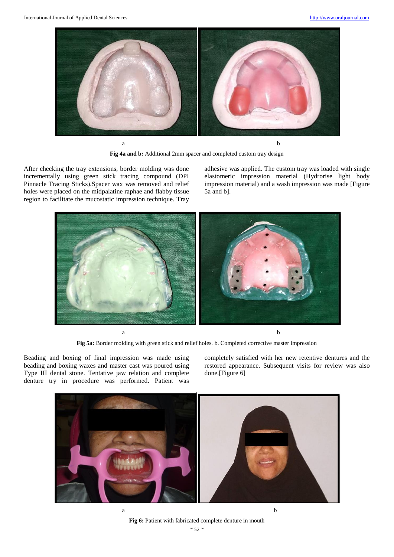

**Fig 4a and b:** Additional 2mm spacer and completed custom tray design

After checking the tray extensions, border molding was done incrementally using green stick tracing compound (DPI Pinnacle Tracing Sticks).Spacer wax was removed and relief holes were placed on the midpalatine raphae and flabby tissue region to facilitate the mucostatic impression technique. Tray adhesive was applied. The custom tray was loaded with single elastomeric impression material (Hydrorise light body impression material) and a wash impression was made [Figure 5a and b].



**Fig 5a:** Border molding with green stick and relief holes. b. Completed corrective master impression

Beading and boxing of final impression was made using beading and boxing waxes and master cast was poured using Type III dental stone. Tentative jaw relation and complete denture try in procedure was performed. Patient was

completely satisfied with her new retentive dentures and the restored appearance. Subsequent visits for review was also done.[Figure 6]



**Fig 6:** Patient with fabricated complete denture in mouth